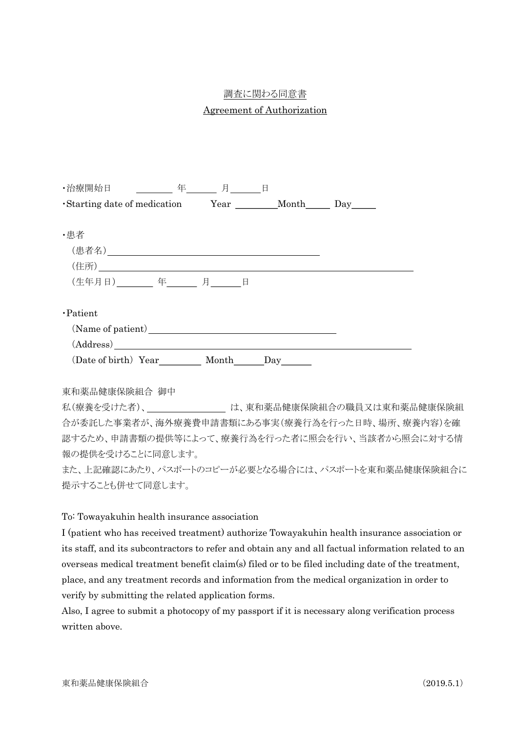## 調査に関わる同意書

## Agreement of Authorization

| ・治療開始日                                                      | 年 | 月 | E |  |
|-------------------------------------------------------------|---|---|---|--|
| •Starting date of medication Year ________ Month ______ Day |   |   |   |  |
| ・患者                                                         |   |   |   |  |
|                                                             |   |   |   |  |
|                                                             |   |   |   |  |
| (生年月日) 年 月 日                                                |   |   |   |  |
| ·Patient                                                    |   |   |   |  |
|                                                             |   |   |   |  |
| (Address)                                                   |   |   |   |  |
| (Date of birth) Year ______ Month_______Day_______          |   |   |   |  |
|                                                             |   |   |   |  |
|                                                             |   |   |   |  |

東和薬品健康保険組合 御中

私(療養を受けた者)、 カランチンのサンは、東和薬品健康保険組合の職員又は東和薬品健康保険組 合が委託した事業者が、海外療養費申請書類にある事実(療養行為を行った日時、場所、療養内容)を確 認するため、申請書類の提供等によって、療養行為を行った者に照会を行い、当該者から照会に対する情 報の提供を受けることに同意します。

また、上記確認にあたり、パスポートのコピーが必要となる場合には、パスポートを東和薬品健康保険組合に 提示することも併せて同意します。

To: Towayakuhin health insurance association

I (patient who has received treatment) authorize Towayakuhin health insurance association or its staff, and its subcontractors to refer and obtain any and all factual information related to an overseas medical treatment benefit claim(s) filed or to be filed including date of the treatment, place, and any treatment records and information from the medical organization in order to verify by submitting the related application forms.

Also, I agree to submit a photocopy of my passport if it is necessary along verification process written above.